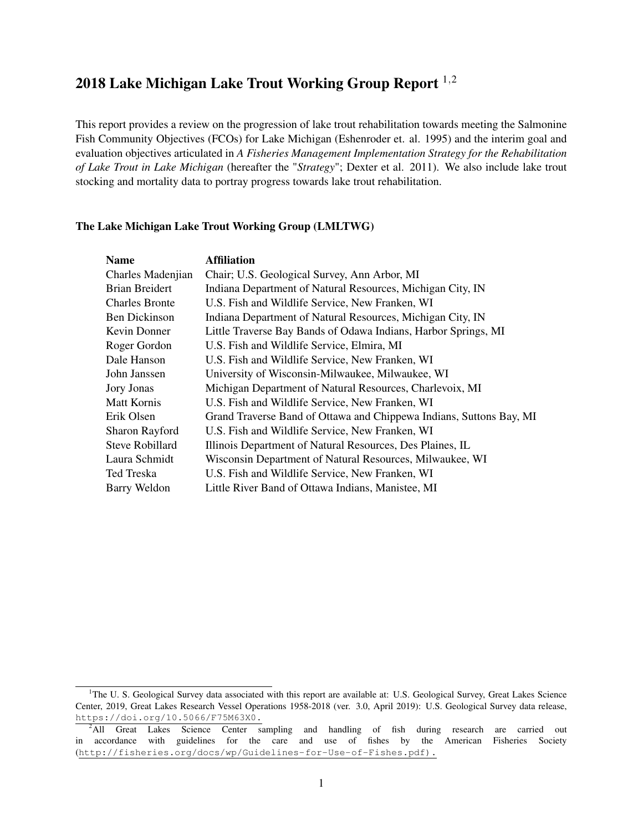# 20[1](#page-0-0)8 Lake Michigan Lake Trout Working Group Report <sup>1,[2](#page-0-1)</sup>

This report provides a review on the progression of lake trout rehabilitation towards meeting the Salmonine Fish Community Objectives (FCOs) for Lake Michigan (Eshenroder et. al. 1995) and the interim goal and evaluation objectives articulated in *A Fisheries Management Implementation Strategy for the Rehabilitation of Lake Trout in Lake Michigan* (hereafter the "*Strategy*"; Dexter et al. 2011). We also include lake trout stocking and mortality data to portray progress towards lake trout rehabilitation.

#### The Lake Michigan Lake Trout Working Group (LMLTWG)

| <b>Name</b>           | <b>Affiliation</b>                                                  |
|-----------------------|---------------------------------------------------------------------|
| Charles Madenjian     | Chair; U.S. Geological Survey, Ann Arbor, MI                        |
| Brian Breidert        | Indiana Department of Natural Resources, Michigan City, IN          |
| <b>Charles Bronte</b> | U.S. Fish and Wildlife Service, New Franken, WI                     |
| Ben Dickinson         | Indiana Department of Natural Resources, Michigan City, IN          |
| Kevin Donner          | Little Traverse Bay Bands of Odawa Indians, Harbor Springs, MI      |
| Roger Gordon          | U.S. Fish and Wildlife Service, Elmira, MI                          |
| Dale Hanson           | U.S. Fish and Wildlife Service, New Franken, WI                     |
| John Janssen          | University of Wisconsin-Milwaukee, Milwaukee, WI                    |
| Jory Jonas            | Michigan Department of Natural Resources, Charlevoix, MI            |
| Matt Kornis           | U.S. Fish and Wildlife Service, New Franken, WI                     |
| Erik Olsen            | Grand Traverse Band of Ottawa and Chippewa Indians, Suttons Bay, MI |
| Sharon Rayford        | U.S. Fish and Wildlife Service, New Franken, WI                     |
| Steve Robillard       | Illinois Department of Natural Resources, Des Plaines, IL           |
| Laura Schmidt         | Wisconsin Department of Natural Resources, Milwaukee, WI            |
| Ted Treska            | U.S. Fish and Wildlife Service, New Franken, WI                     |
| Barry Weldon          | Little River Band of Ottawa Indians, Manistee, MI                   |

<span id="page-0-0"></span><sup>&</sup>lt;sup>1</sup>The U. S. Geological Survey data associated with this report are available at: U.S. Geological Survey, Great Lakes Science Center, 2019, Great Lakes Research Vessel Operations 1958-2018 (ver. 3.0, April 2019): U.S. Geological Survey data release, <https://doi.org/10.5066/F75M63X0.>

<span id="page-0-1"></span><sup>&</sup>lt;sup>2</sup>All Great Lakes Science Center sampling and handling of fish during research are carried out in accordance with guidelines for the care and use of fishes by the American Fisheries Society ([http://fisheries.org/docs/wp/Guidelines-for-Use-of-Fishes.pdf\).](http://fisheries.org/docs/wp/Guidelines-for-Use-of-Fishes.pdf).)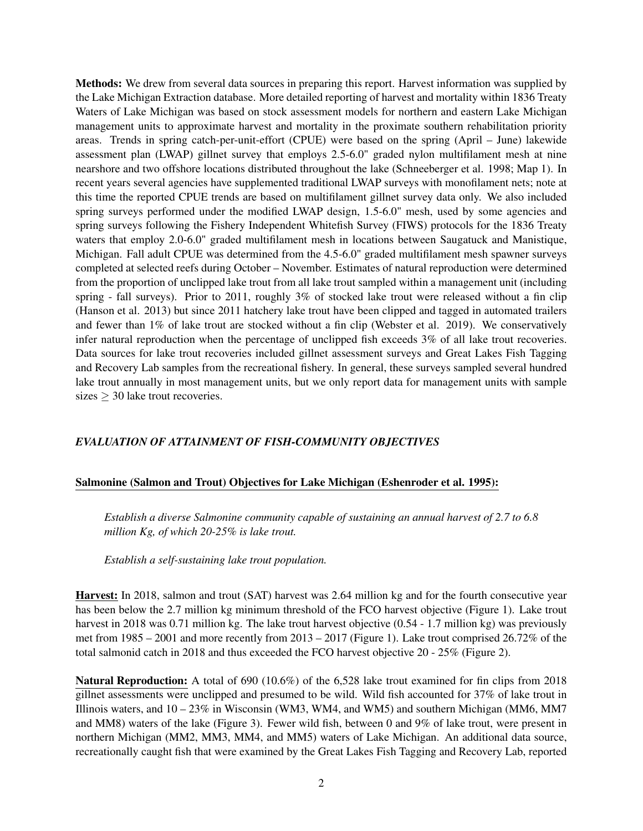Methods: We drew from several data sources in preparing this report. Harvest information was supplied by the Lake Michigan Extraction database. More detailed reporting of harvest and mortality within 1836 Treaty Waters of Lake Michigan was based on stock assessment models for northern and eastern Lake Michigan management units to approximate harvest and mortality in the proximate southern rehabilitation priority areas. Trends in spring catch-per-unit-effort (CPUE) were based on the spring (April – June) lakewide assessment plan (LWAP) gillnet survey that employs 2.5-6.0" graded nylon multifilament mesh at nine nearshore and two offshore locations distributed throughout the lake (Schneeberger et al. 1998; Map 1). In recent years several agencies have supplemented traditional LWAP surveys with monofilament nets; note at this time the reported CPUE trends are based on multifilament gillnet survey data only. We also included spring surveys performed under the modified LWAP design, 1.5-6.0" mesh, used by some agencies and spring surveys following the Fishery Independent Whitefish Survey (FIWS) protocols for the 1836 Treaty waters that employ 2.0-6.0" graded multifilament mesh in locations between Saugatuck and Manistique, Michigan. Fall adult CPUE was determined from the 4.5-6.0" graded multifilament mesh spawner surveys completed at selected reefs during October – November. Estimates of natural reproduction were determined from the proportion of unclipped lake trout from all lake trout sampled within a management unit (including spring - fall surveys). Prior to 2011, roughly 3% of stocked lake trout were released without a fin clip (Hanson et al. 2013) but since 2011 hatchery lake trout have been clipped and tagged in automated trailers and fewer than 1% of lake trout are stocked without a fin clip (Webster et al. 2019). We conservatively infer natural reproduction when the percentage of unclipped fish exceeds 3% of all lake trout recoveries. Data sources for lake trout recoveries included gillnet assessment surveys and Great Lakes Fish Tagging and Recovery Lab samples from the recreational fishery. In general, these surveys sampled several hundred lake trout annually in most management units, but we only report data for management units with sample sizes  $\geq$  30 lake trout recoveries.

#### *EVALUATION OF ATTAINMENT OF FISH-COMMUNITY OBJECTIVES*

#### Salmonine (Salmon and Trout) Objectives for Lake Michigan (Eshenroder et al. 1995):

*Establish a diverse Salmonine community capable of sustaining an annual harvest of 2.7 to 6.8 million Kg, of which 20-25% is lake trout.*

*Establish a self-sustaining lake trout population.*

Harvest: In 2018, salmon and trout (SAT) harvest was 2.64 million kg and for the fourth consecutive year has been below the 2.7 million kg minimum threshold of the FCO harvest objective (Figure 1). Lake trout harvest in 2018 was 0.71 million kg. The lake trout harvest objective (0.54 - 1.7 million kg) was previously met from 1985 – 2001 and more recently from 2013 – 2017 (Figure 1). Lake trout comprised 26.72% of the total salmonid catch in 2018 and thus exceeded the FCO harvest objective 20 - 25% (Figure 2).

Natural Reproduction: A total of 690 (10.6%) of the 6,528 lake trout examined for fin clips from 2018 gillnet assessments were unclipped and presumed to be wild. Wild fish accounted for 37% of lake trout in Illinois waters, and 10 – 23% in Wisconsin (WM3, WM4, and WM5) and southern Michigan (MM6, MM7 and MM8) waters of the lake (Figure 3). Fewer wild fish, between 0 and 9% of lake trout, were present in northern Michigan (MM2, MM3, MM4, and MM5) waters of Lake Michigan. An additional data source, recreationally caught fish that were examined by the Great Lakes Fish Tagging and Recovery Lab, reported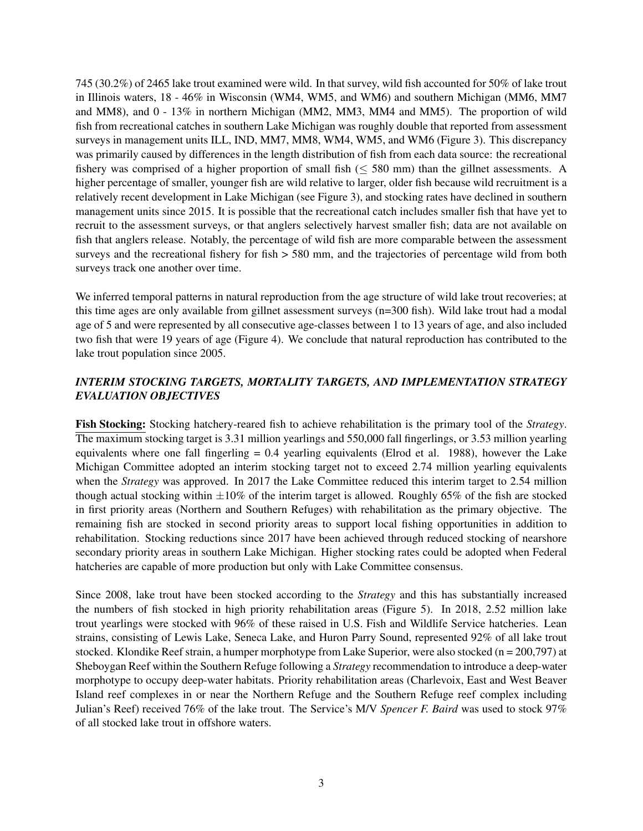745 (30.2%) of 2465 lake trout examined were wild. In that survey, wild fish accounted for 50% of lake trout in Illinois waters, 18 - 46% in Wisconsin (WM4, WM5, and WM6) and southern Michigan (MM6, MM7 and MM8), and 0 - 13% in northern Michigan (MM2, MM3, MM4 and MM5). The proportion of wild fish from recreational catches in southern Lake Michigan was roughly double that reported from assessment surveys in management units ILL, IND, MM7, MM8, WM4, WM5, and WM6 (Figure 3). This discrepancy was primarily caused by differences in the length distribution of fish from each data source: the recreational fishery was comprised of a higher proportion of small fish ( $\leq$  580 mm) than the gillnet assessments. A higher percentage of smaller, younger fish are wild relative to larger, older fish because wild recruitment is a relatively recent development in Lake Michigan (see Figure 3), and stocking rates have declined in southern management units since 2015. It is possible that the recreational catch includes smaller fish that have yet to recruit to the assessment surveys, or that anglers selectively harvest smaller fish; data are not available on fish that anglers release. Notably, the percentage of wild fish are more comparable between the assessment surveys and the recreational fishery for fish  $> 580$  mm, and the trajectories of percentage wild from both surveys track one another over time.

We inferred temporal patterns in natural reproduction from the age structure of wild lake trout recoveries; at this time ages are only available from gillnet assessment surveys (n=300 fish). Wild lake trout had a modal age of 5 and were represented by all consecutive age-classes between 1 to 13 years of age, and also included two fish that were 19 years of age (Figure 4). We conclude that natural reproduction has contributed to the lake trout population since 2005.

#### *INTERIM STOCKING TARGETS, MORTALITY TARGETS, AND IMPLEMENTATION STRATEGY EVALUATION OBJECTIVES*

Fish Stocking: Stocking hatchery-reared fish to achieve rehabilitation is the primary tool of the *Strategy*. The maximum stocking target is 3.31 million yearlings and 550,000 fall fingerlings, or 3.53 million yearling equivalents where one fall fingerling = 0.4 yearling equivalents (Elrod et al. 1988), however the Lake Michigan Committee adopted an interim stocking target not to exceed 2.74 million yearling equivalents when the *Strategy* was approved. In 2017 the Lake Committee reduced this interim target to 2.54 million though actual stocking within  $\pm 10\%$  of the interim target is allowed. Roughly 65% of the fish are stocked in first priority areas (Northern and Southern Refuges) with rehabilitation as the primary objective. The remaining fish are stocked in second priority areas to support local fishing opportunities in addition to rehabilitation. Stocking reductions since 2017 have been achieved through reduced stocking of nearshore secondary priority areas in southern Lake Michigan. Higher stocking rates could be adopted when Federal hatcheries are capable of more production but only with Lake Committee consensus.

Since 2008, lake trout have been stocked according to the *Strategy* and this has substantially increased the numbers of fish stocked in high priority rehabilitation areas (Figure 5). In 2018, 2.52 million lake trout yearlings were stocked with 96% of these raised in U.S. Fish and Wildlife Service hatcheries. Lean strains, consisting of Lewis Lake, Seneca Lake, and Huron Parry Sound, represented 92% of all lake trout stocked. Klondike Reef strain, a humper morphotype from Lake Superior, were also stocked (n = 200,797) at Sheboygan Reef within the Southern Refuge following a *Strategy* recommendation to introduce a deep-water morphotype to occupy deep-water habitats. Priority rehabilitation areas (Charlevoix, East and West Beaver Island reef complexes in or near the Northern Refuge and the Southern Refuge reef complex including Julian's Reef) received 76% of the lake trout. The Service's M/V *Spencer F. Baird* was used to stock 97% of all stocked lake trout in offshore waters.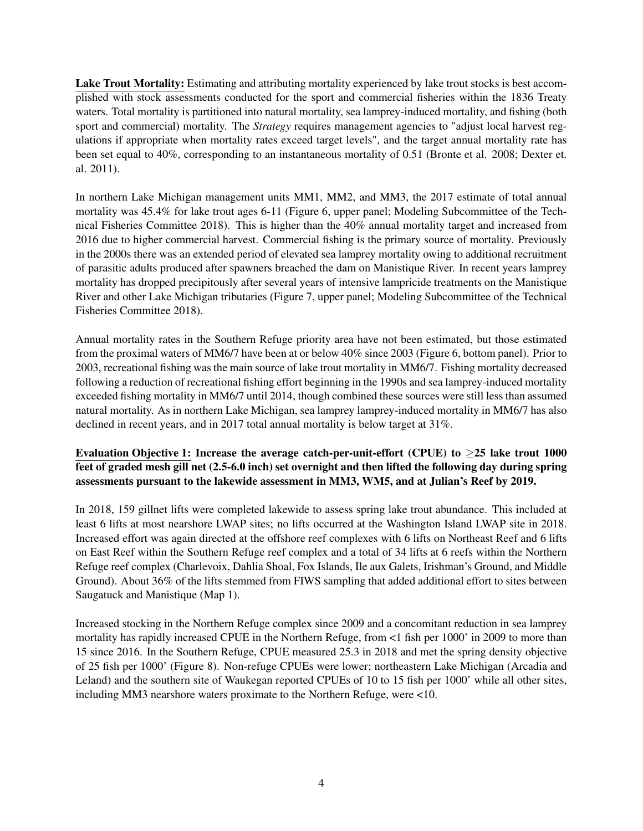Lake Trout Mortality: Estimating and attributing mortality experienced by lake trout stocks is best accomplished with stock assessments conducted for the sport and commercial fisheries within the 1836 Treaty waters. Total mortality is partitioned into natural mortality, sea lamprey-induced mortality, and fishing (both sport and commercial) mortality. The *Strategy* requires management agencies to "adjust local harvest regulations if appropriate when mortality rates exceed target levels", and the target annual mortality rate has been set equal to 40%, corresponding to an instantaneous mortality of 0.51 (Bronte et al. 2008; Dexter et. al. 2011).

In northern Lake Michigan management units MM1, MM2, and MM3, the 2017 estimate of total annual mortality was 45.4% for lake trout ages 6-11 (Figure 6, upper panel; Modeling Subcommittee of the Technical Fisheries Committee 2018). This is higher than the 40% annual mortality target and increased from 2016 due to higher commercial harvest. Commercial fishing is the primary source of mortality. Previously in the 2000s there was an extended period of elevated sea lamprey mortality owing to additional recruitment of parasitic adults produced after spawners breached the dam on Manistique River. In recent years lamprey mortality has dropped precipitously after several years of intensive lampricide treatments on the Manistique River and other Lake Michigan tributaries (Figure 7, upper panel; Modeling Subcommittee of the Technical Fisheries Committee 2018).

Annual mortality rates in the Southern Refuge priority area have not been estimated, but those estimated from the proximal waters of MM6/7 have been at or below 40% since 2003 (Figure 6, bottom panel). Prior to 2003, recreational fishing was the main source of lake trout mortality in MM6/7. Fishing mortality decreased following a reduction of recreational fishing effort beginning in the 1990s and sea lamprey-induced mortality exceeded fishing mortality in MM6/7 until 2014, though combined these sources were still less than assumed natural mortality. As in northern Lake Michigan, sea lamprey lamprey-induced mortality in MM6/7 has also declined in recent years, and in 2017 total annual mortality is below target at 31%.

### Evaluation Objective 1: Increase the average catch-per-unit-effort (CPUE) to  $\geq$ 25 lake trout 1000 feet of graded mesh gill net (2.5-6.0 inch) set overnight and then lifted the following day during spring assessments pursuant to the lakewide assessment in MM3, WM5, and at Julian's Reef by 2019.

In 2018, 159 gillnet lifts were completed lakewide to assess spring lake trout abundance. This included at least 6 lifts at most nearshore LWAP sites; no lifts occurred at the Washington Island LWAP site in 2018. Increased effort was again directed at the offshore reef complexes with 6 lifts on Northeast Reef and 6 lifts on East Reef within the Southern Refuge reef complex and a total of 34 lifts at 6 reefs within the Northern Refuge reef complex (Charlevoix, Dahlia Shoal, Fox Islands, Ile aux Galets, Irishman's Ground, and Middle Ground). About 36% of the lifts stemmed from FIWS sampling that added additional effort to sites between Saugatuck and Manistique (Map 1).

Increased stocking in the Northern Refuge complex since 2009 and a concomitant reduction in sea lamprey mortality has rapidly increased CPUE in the Northern Refuge, from <1 fish per 1000' in 2009 to more than 15 since 2016. In the Southern Refuge, CPUE measured 25.3 in 2018 and met the spring density objective of 25 fish per 1000' (Figure 8). Non-refuge CPUEs were lower; northeastern Lake Michigan (Arcadia and Leland) and the southern site of Waukegan reported CPUEs of 10 to 15 fish per 1000' while all other sites, including MM3 nearshore waters proximate to the Northern Refuge, were <10.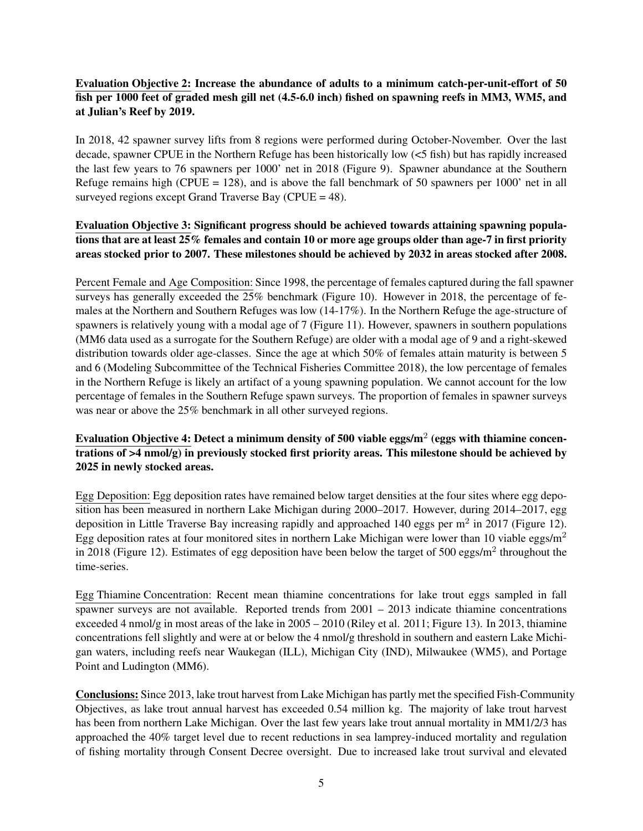### Evaluation Objective 2: Increase the abundance of adults to a minimum catch-per-unit-effort of 50 fish per 1000 feet of graded mesh gill net (4.5-6.0 inch) fished on spawning reefs in MM3, WM5, and at Julian's Reef by 2019.

In 2018, 42 spawner survey lifts from 8 regions were performed during October-November. Over the last decade, spawner CPUE in the Northern Refuge has been historically low (<5 fish) but has rapidly increased the last few years to 76 spawners per 1000' net in 2018 (Figure 9). Spawner abundance at the Southern Refuge remains high (CPUE = 128), and is above the fall benchmark of 50 spawners per 1000' net in all surveyed regions except Grand Traverse Bay (CPUE  $=$  48).

#### Evaluation Objective 3: Significant progress should be achieved towards attaining spawning populations that are at least 25% females and contain 10 or more age groups older than age-7 in first priority areas stocked prior to 2007. These milestones should be achieved by 2032 in areas stocked after 2008.

Percent Female and Age Composition: Since 1998, the percentage of females captured during the fall spawner surveys has generally exceeded the 25% benchmark (Figure 10). However in 2018, the percentage of females at the Northern and Southern Refuges was low (14-17%). In the Northern Refuge the age-structure of spawners is relatively young with a modal age of 7 (Figure 11). However, spawners in southern populations (MM6 data used as a surrogate for the Southern Refuge) are older with a modal age of 9 and a right-skewed distribution towards older age-classes. Since the age at which 50% of females attain maturity is between 5 and 6 (Modeling Subcommittee of the Technical Fisheries Committee 2018), the low percentage of females in the Northern Refuge is likely an artifact of a young spawning population. We cannot account for the low percentage of females in the Southern Refuge spawn surveys. The proportion of females in spawner surveys was near or above the 25% benchmark in all other surveyed regions.

### Evaluation Objective 4: Detect a minimum density of 500 viable eggs/m $^2$  (eggs with thiamine concentrations of >4 nmol/g) in previously stocked first priority areas. This milestone should be achieved by 2025 in newly stocked areas.

Egg Deposition: Egg deposition rates have remained below target densities at the four sites where egg deposition has been measured in northern Lake Michigan during 2000–2017. However, during 2014–2017, egg deposition in Little Traverse Bay increasing rapidly and approached 140 eggs per  $m^2$  in 2017 (Figure 12). Egg deposition rates at four monitored sites in northern Lake Michigan were lower than 10 viable eggs/ $m<sup>2</sup>$ in 2018 (Figure 12). Estimates of egg deposition have been below the target of 500 eggs/ $m^2$  throughout the time-series.

Egg Thiamine Concentration: Recent mean thiamine concentrations for lake trout eggs sampled in fall spawner surveys are not available. Reported trends from 2001 – 2013 indicate thiamine concentrations exceeded 4 nmol/g in most areas of the lake in 2005 – 2010 (Riley et al. 2011; Figure 13). In 2013, thiamine concentrations fell slightly and were at or below the 4 nmol/g threshold in southern and eastern Lake Michigan waters, including reefs near Waukegan (ILL), Michigan City (IND), Milwaukee (WM5), and Portage Point and Ludington (MM6).

Conclusions: Since 2013, lake trout harvest from Lake Michigan has partly met the specified Fish-Community Objectives, as lake trout annual harvest has exceeded 0.54 million kg. The majority of lake trout harvest has been from northern Lake Michigan. Over the last few years lake trout annual mortality in MM1/2/3 has approached the 40% target level due to recent reductions in sea lamprey-induced mortality and regulation of fishing mortality through Consent Decree oversight. Due to increased lake trout survival and elevated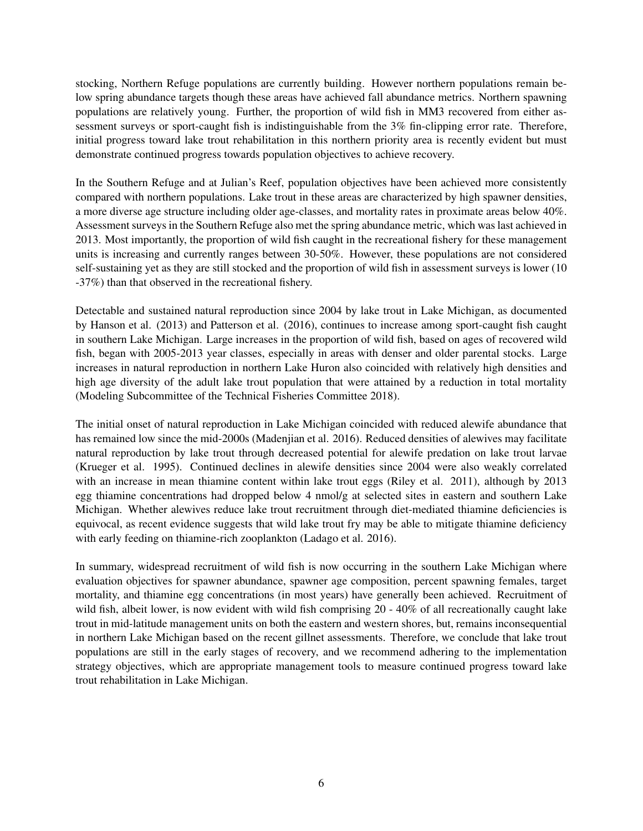stocking, Northern Refuge populations are currently building. However northern populations remain below spring abundance targets though these areas have achieved fall abundance metrics. Northern spawning populations are relatively young. Further, the proportion of wild fish in MM3 recovered from either assessment surveys or sport-caught fish is indistinguishable from the 3% fin-clipping error rate. Therefore, initial progress toward lake trout rehabilitation in this northern priority area is recently evident but must demonstrate continued progress towards population objectives to achieve recovery.

In the Southern Refuge and at Julian's Reef, population objectives have been achieved more consistently compared with northern populations. Lake trout in these areas are characterized by high spawner densities, a more diverse age structure including older age-classes, and mortality rates in proximate areas below 40%. Assessment surveys in the Southern Refuge also met the spring abundance metric, which was last achieved in 2013. Most importantly, the proportion of wild fish caught in the recreational fishery for these management units is increasing and currently ranges between 30-50%. However, these populations are not considered self-sustaining yet as they are still stocked and the proportion of wild fish in assessment surveys is lower (10 -37%) than that observed in the recreational fishery.

Detectable and sustained natural reproduction since 2004 by lake trout in Lake Michigan, as documented by Hanson et al. (2013) and Patterson et al. (2016), continues to increase among sport-caught fish caught in southern Lake Michigan. Large increases in the proportion of wild fish, based on ages of recovered wild fish, began with 2005-2013 year classes, especially in areas with denser and older parental stocks. Large increases in natural reproduction in northern Lake Huron also coincided with relatively high densities and high age diversity of the adult lake trout population that were attained by a reduction in total mortality (Modeling Subcommittee of the Technical Fisheries Committee 2018).

The initial onset of natural reproduction in Lake Michigan coincided with reduced alewife abundance that has remained low since the mid-2000s (Madenjian et al. 2016). Reduced densities of alewives may facilitate natural reproduction by lake trout through decreased potential for alewife predation on lake trout larvae (Krueger et al. 1995). Continued declines in alewife densities since 2004 were also weakly correlated with an increase in mean thiamine content within lake trout eggs (Riley et al. 2011), although by 2013 egg thiamine concentrations had dropped below 4 nmol/g at selected sites in eastern and southern Lake Michigan. Whether alewives reduce lake trout recruitment through diet-mediated thiamine deficiencies is equivocal, as recent evidence suggests that wild lake trout fry may be able to mitigate thiamine deficiency with early feeding on thiamine-rich zooplankton (Ladago et al. 2016).

In summary, widespread recruitment of wild fish is now occurring in the southern Lake Michigan where evaluation objectives for spawner abundance, spawner age composition, percent spawning females, target mortality, and thiamine egg concentrations (in most years) have generally been achieved. Recruitment of wild fish, albeit lower, is now evident with wild fish comprising 20 - 40% of all recreationally caught lake trout in mid-latitude management units on both the eastern and western shores, but, remains inconsequential in northern Lake Michigan based on the recent gillnet assessments. Therefore, we conclude that lake trout populations are still in the early stages of recovery, and we recommend adhering to the implementation strategy objectives, which are appropriate management tools to measure continued progress toward lake trout rehabilitation in Lake Michigan.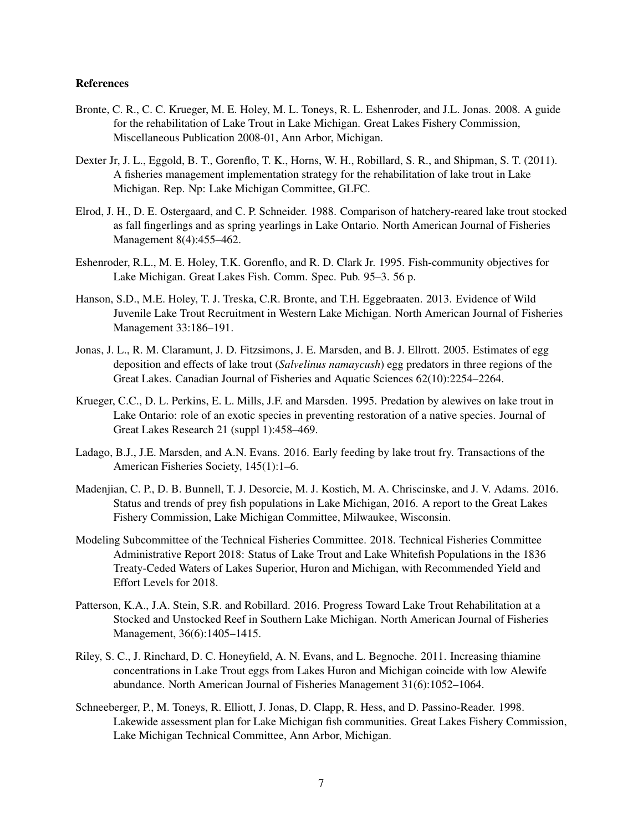#### References

- Bronte, C. R., C. C. Krueger, M. E. Holey, M. L. Toneys, R. L. Eshenroder, and J.L. Jonas. 2008. A guide for the rehabilitation of Lake Trout in Lake Michigan. Great Lakes Fishery Commission, Miscellaneous Publication 2008-01, Ann Arbor, Michigan.
- Dexter Jr, J. L., Eggold, B. T., Gorenflo, T. K., Horns, W. H., Robillard, S. R., and Shipman, S. T. (2011). A fisheries management implementation strategy for the rehabilitation of lake trout in Lake Michigan. Rep. Np: Lake Michigan Committee, GLFC.
- Elrod, J. H., D. E. Ostergaard, and C. P. Schneider. 1988. Comparison of hatchery-reared lake trout stocked as fall fingerlings and as spring yearlings in Lake Ontario. North American Journal of Fisheries Management 8(4):455–462.
- Eshenroder, R.L., M. E. Holey, T.K. Gorenflo, and R. D. Clark Jr. 1995. Fish-community objectives for Lake Michigan. Great Lakes Fish. Comm. Spec. Pub. 95–3. 56 p.
- Hanson, S.D., M.E. Holey, T. J. Treska, C.R. Bronte, and T.H. Eggebraaten. 2013. Evidence of Wild Juvenile Lake Trout Recruitment in Western Lake Michigan. North American Journal of Fisheries Management 33:186–191.
- Jonas, J. L., R. M. Claramunt, J. D. Fitzsimons, J. E. Marsden, and B. J. Ellrott. 2005. Estimates of egg deposition and effects of lake trout (*Salvelinus namaycush*) egg predators in three regions of the Great Lakes. Canadian Journal of Fisheries and Aquatic Sciences 62(10):2254–2264.
- Krueger, C.C., D. L. Perkins, E. L. Mills, J.F. and Marsden. 1995. Predation by alewives on lake trout in Lake Ontario: role of an exotic species in preventing restoration of a native species. Journal of Great Lakes Research 21 (suppl 1):458–469.
- Ladago, B.J., J.E. Marsden, and A.N. Evans. 2016. Early feeding by lake trout fry. Transactions of the American Fisheries Society, 145(1):1–6.
- Madenjian, C. P., D. B. Bunnell, T. J. Desorcie, M. J. Kostich, M. A. Chriscinske, and J. V. Adams. 2016. Status and trends of prey fish populations in Lake Michigan, 2016. A report to the Great Lakes Fishery Commission, Lake Michigan Committee, Milwaukee, Wisconsin.
- Modeling Subcommittee of the Technical Fisheries Committee. 2018. Technical Fisheries Committee Administrative Report 2018: Status of Lake Trout and Lake Whitefish Populations in the 1836 Treaty-Ceded Waters of Lakes Superior, Huron and Michigan, with Recommended Yield and Effort Levels for 2018.
- Patterson, K.A., J.A. Stein, S.R. and Robillard. 2016. Progress Toward Lake Trout Rehabilitation at a Stocked and Unstocked Reef in Southern Lake Michigan. North American Journal of Fisheries Management, 36(6):1405–1415.
- Riley, S. C., J. Rinchard, D. C. Honeyfield, A. N. Evans, and L. Begnoche. 2011. Increasing thiamine concentrations in Lake Trout eggs from Lakes Huron and Michigan coincide with low Alewife abundance. North American Journal of Fisheries Management 31(6):1052–1064.
- Schneeberger, P., M. Toneys, R. Elliott, J. Jonas, D. Clapp, R. Hess, and D. Passino-Reader. 1998. Lakewide assessment plan for Lake Michigan fish communities. Great Lakes Fishery Commission, Lake Michigan Technical Committee, Ann Arbor, Michigan.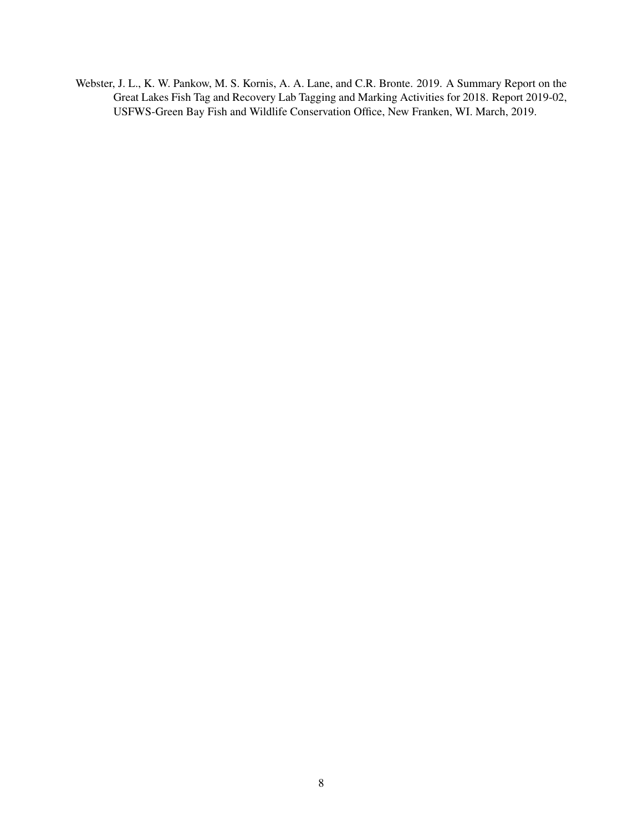Webster, J. L., K. W. Pankow, M. S. Kornis, A. A. Lane, and C.R. Bronte. 2019. A Summary Report on the Great Lakes Fish Tag and Recovery Lab Tagging and Marking Activities for 2018. Report 2019-02, USFWS-Green Bay Fish and Wildlife Conservation Office, New Franken, WI. March, 2019.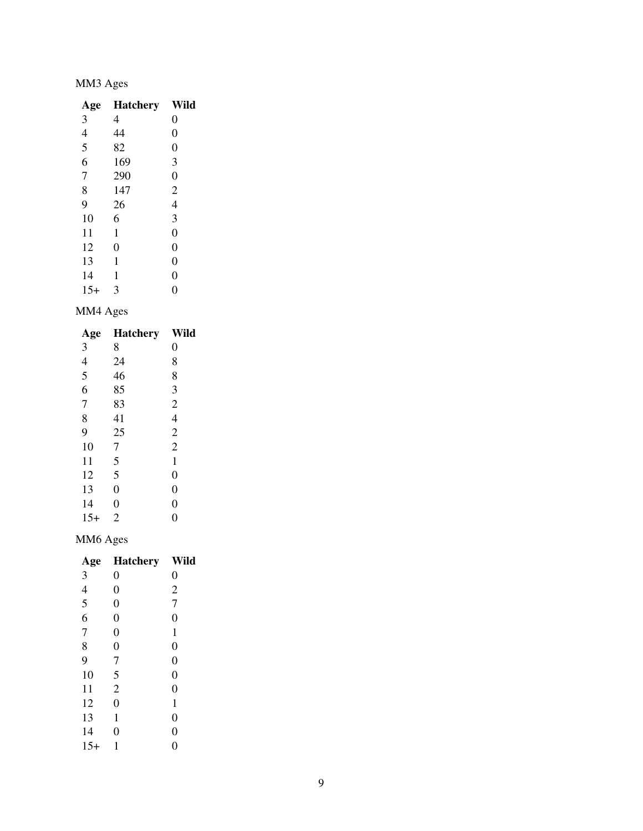# MM3 Ages

| Age                      | <b>Hatchery</b> | Wild           |
|--------------------------|-----------------|----------------|
| 3                        | 4               | 0              |
| $\overline{\mathcal{L}}$ | 44              | $\overline{0}$ |
| $\frac{5}{6}$            | 82              | $\overline{0}$ |
|                          | 169             | 3              |
| 7                        | 290             | $\overline{0}$ |
| 8                        | 147             | $\overline{c}$ |
| 9                        | 26              | 4              |
| 10                       | 6               | 3              |
| 11                       | 1               | $\overline{0}$ |
| 12                       | $\overline{0}$  | $\overline{0}$ |
| 13                       | 1               | $\overline{0}$ |
| 14                       | 1               | $\overline{0}$ |
| $15+$                    | 3               | 0              |

## MM4 Ages

| Age                     | <b>Hatchery</b> | Wild             |
|-------------------------|-----------------|------------------|
| 3                       | 8               | $\overline{0}$   |
| $\overline{4}$          | 24              | 8                |
| $\overline{\mathbf{5}}$ | 46              | 8                |
| 6                       | 85              | 3                |
| $\overline{7}$          | 83              | $\overline{c}$   |
| 8                       | 41              | $\overline{4}$   |
| 9                       | 25              | $\overline{c}$   |
| 10                      | 7               | $\overline{2}$   |
| 11                      | 5               | $\mathbf 1$      |
| 12                      | 5               | $\boldsymbol{0}$ |
| 13                      | $\overline{0}$  | $\overline{0}$   |
| 14                      | $\overline{0}$  | $\overline{0}$   |
| $15+$                   | $\overline{2}$  | $\overline{0}$   |

# MM6 Ages

| Age            | <b>Hatchery</b> | Wild             |
|----------------|-----------------|------------------|
| 3              | 0               | 0                |
| $\overline{4}$ | $\overline{0}$  | $\overline{c}$   |
| 5              | $\overline{0}$  | $\overline{7}$   |
| 6              | $\overline{0}$  | 0                |
| $\overline{7}$ | $\overline{0}$  | $\mathbf{1}$     |
| 8              | $\overline{0}$  | $\boldsymbol{0}$ |
| 9              | 7               | $\boldsymbol{0}$ |
| 10             | 5               | $\overline{0}$   |
| 11             | $\overline{2}$  | $\overline{0}$   |
| 12             | $\overline{0}$  | $\mathbf{1}$     |
| 13             | 1               | $\overline{0}$   |
| 14             | 0               | $\overline{0}$   |
| $15+$          |                 | 0                |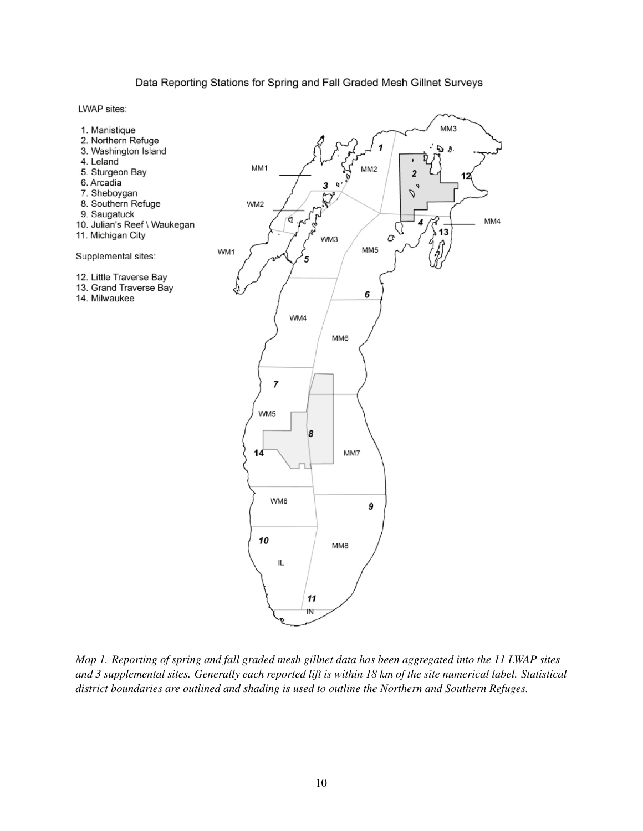#### Data Reporting Stations for Spring and Fall Graded Mesh Gillnet Surveys

LWAP sites:



*Map 1. Reporting of spring and fall graded mesh gillnet data has been aggregated into the 11 LWAP sites and 3 supplemental sites. Generally each reported lift is within 18 km of the site numerical label. Statistical district boundaries are outlined and shading is used to outline the Northern and Southern Refuges.*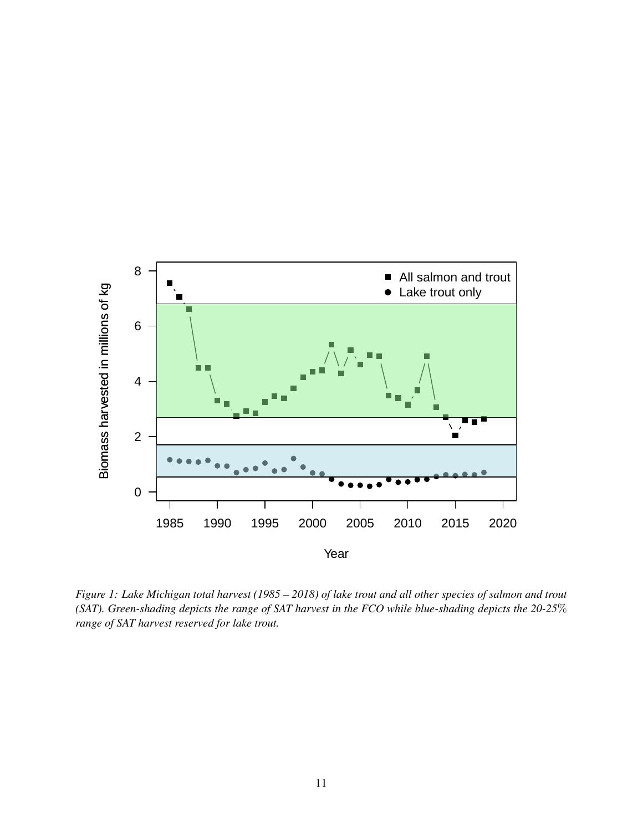

*Figure 1: Lake Michigan total harvest (1985 – 2018) of lake trout and all other species of salmon and trout (SAT). Green-shading depicts the range of SAT harvest in the FCO while blue-shading depicts the 20-25*% *range of SAT harvest reserved for lake trout.*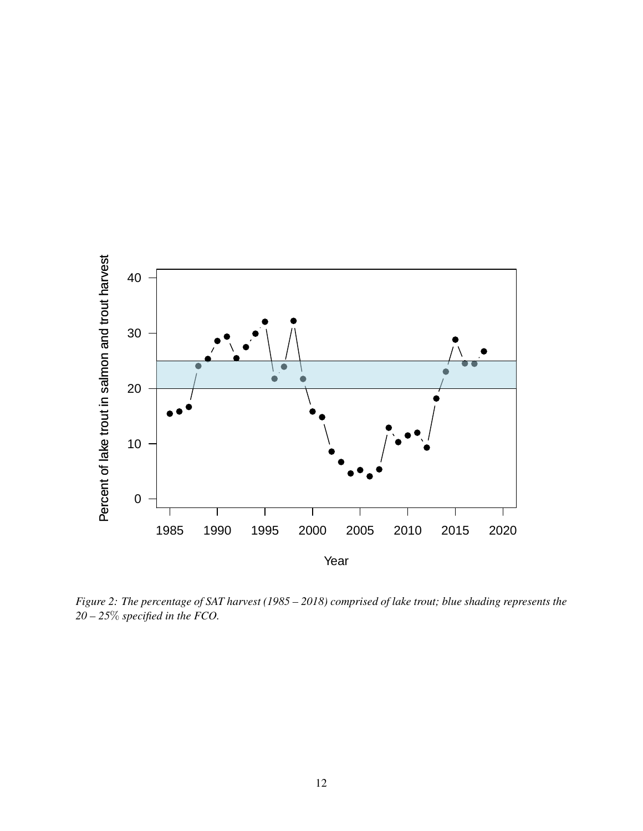

*Figure 2: The percentage of SAT harvest (1985 – 2018) comprised of lake trout; blue shading represents the 20 – 25*% *specified in the FCO.*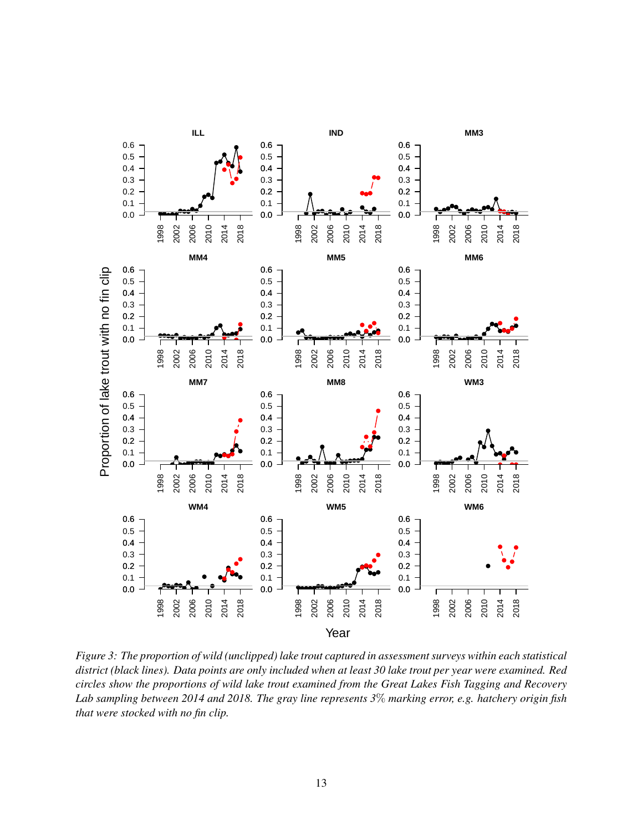

*Figure 3: The proportion of wild (unclipped) lake trout captured in assessment surveys within each statistical district (black lines). Data points are only included when at least 30 lake trout per year were examined. Red circles show the proportions of wild lake trout examined from the Great Lakes Fish Tagging and Recovery Lab sampling between 2014 and 2018. The gray line represents 3*% *marking error, e.g. hatchery origin fish that were stocked with no fin clip.*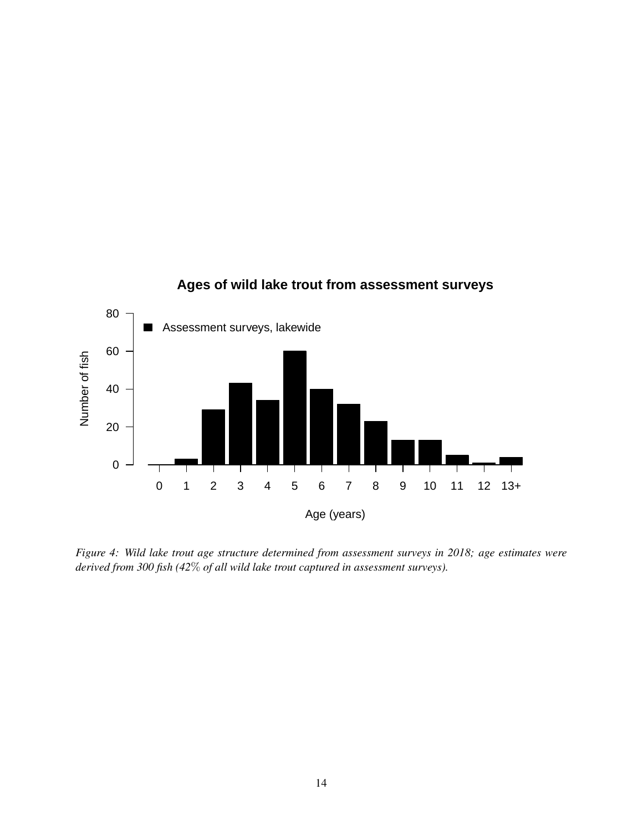

*Figure 4: Wild lake trout age structure determined from assessment surveys in 2018; age estimates were derived from 300 fish (42*% *of all wild lake trout captured in assessment surveys).*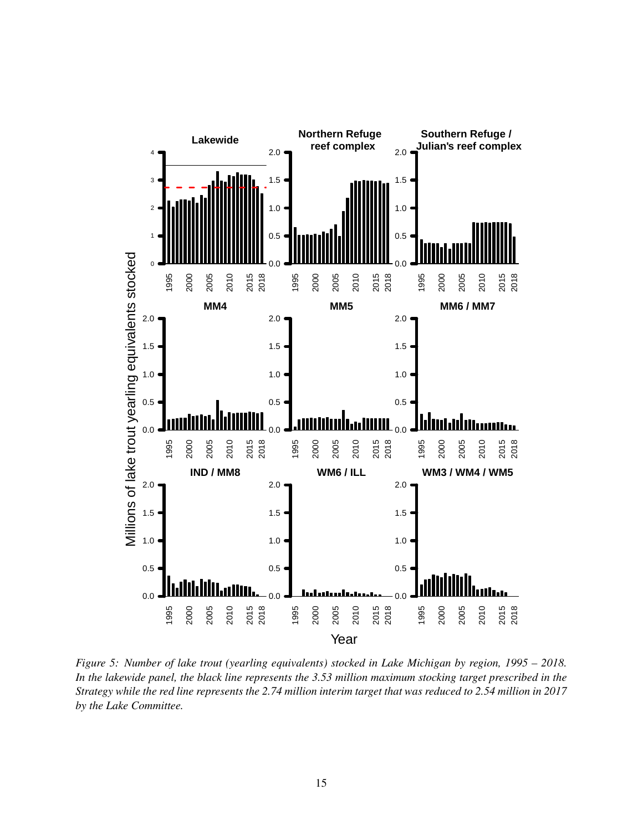

*Figure 5: Number of lake trout (yearling equivalents) stocked in Lake Michigan by region, 1995 – 2018. In the lakewide panel, the black line represents the 3.53 million maximum stocking target prescribed in the Strategy while the red line represents the 2.74 million interim target that was reduced to 2.54 million in 2017 by the Lake Committee.*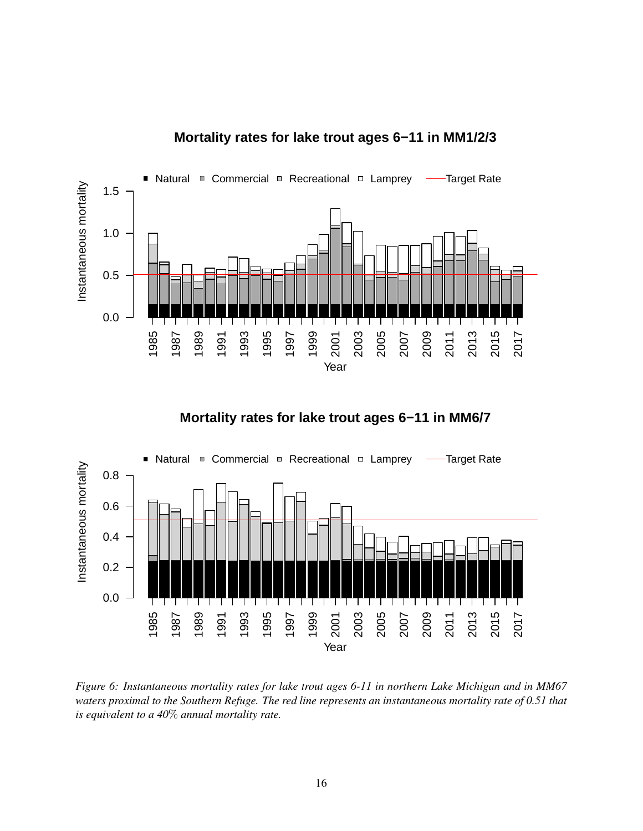

## **Mortality rates for lake trout ages 6−11 in MM1/2/3**





*Figure 6: Instantaneous mortality rates for lake trout ages 6-11 in northern Lake Michigan and in MM67 waters proximal to the Southern Refuge. The red line represents an instantaneous mortality rate of 0.51 that is equivalent to a 40*% *annual mortality rate.*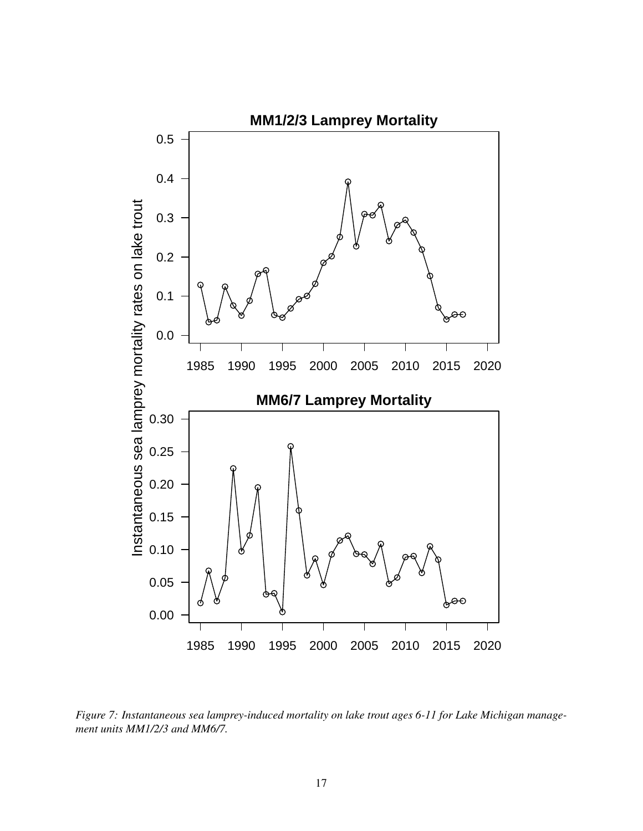

*Figure 7: Instantaneous sea lamprey-induced mortality on lake trout ages 6-11 for Lake Michigan management units MM1/2/3 and MM6/7.*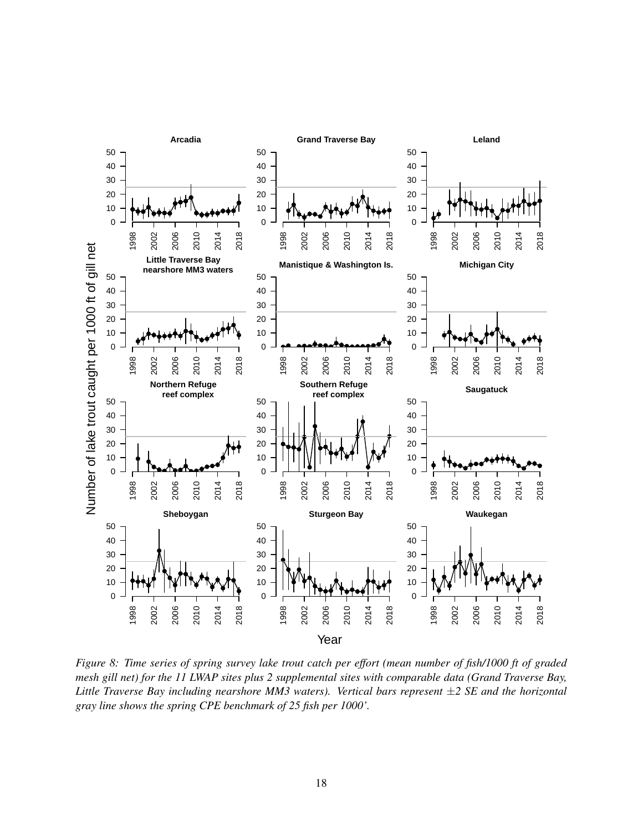

*Figure 8: Time series of spring survey lake trout catch per effort (mean number of fish/1000 ft of graded mesh gill net) for the 11 LWAP sites plus 2 supplemental sites with comparable data (Grand Traverse Bay, Little Traverse Bay including nearshore MM3 waters). Vertical bars represent* ±*2 SE and the horizontal gray line shows the spring CPE benchmark of 25 fish per 1000'.*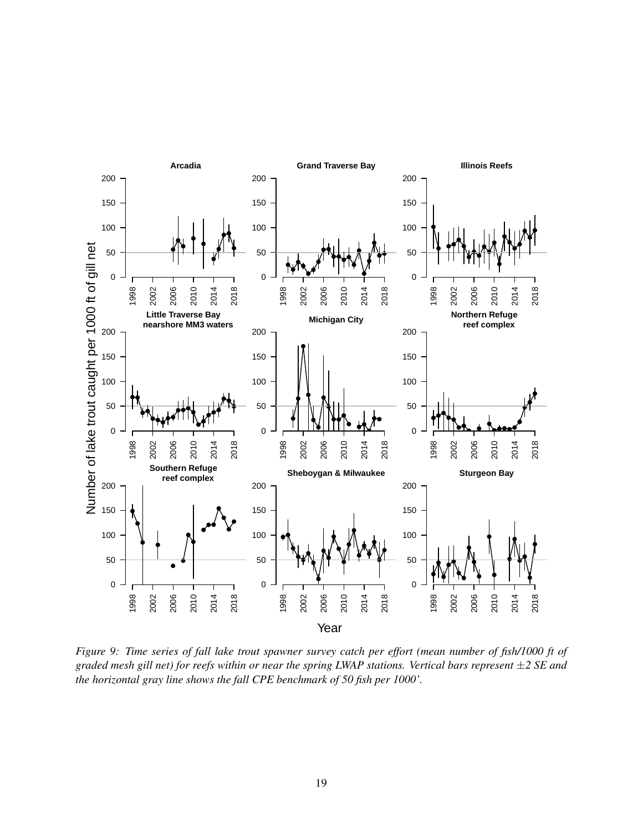

*Figure 9: Time series of fall lake trout spawner survey catch per effort (mean number of fish/1000 ft of graded mesh gill net) for reefs within or near the spring LWAP stations. Vertical bars represent* ±*2 SE and the horizontal gray line shows the fall CPE benchmark of 50 fish per 1000'.*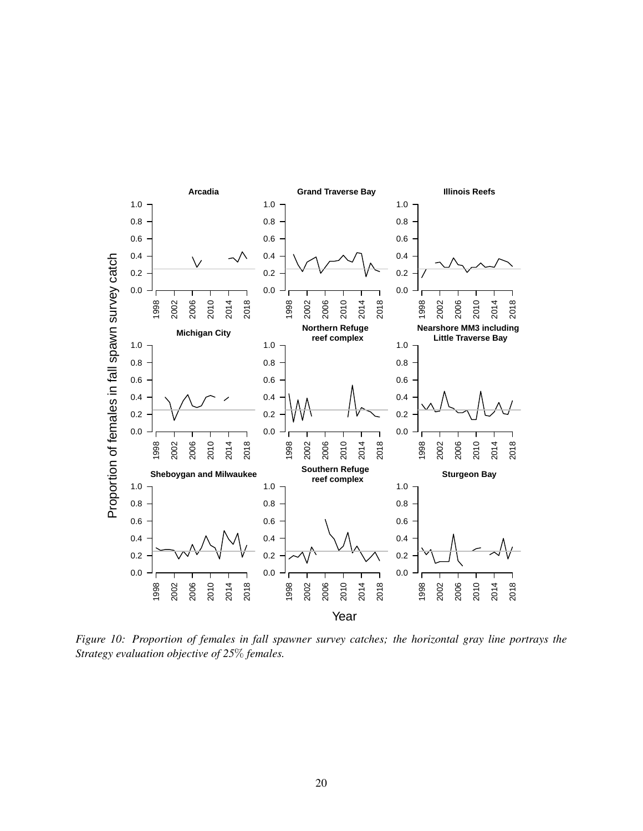

*Figure 10: Proportion of females in fall spawner survey catches; the horizontal gray line portrays the Strategy evaluation objective of 25*% *females.*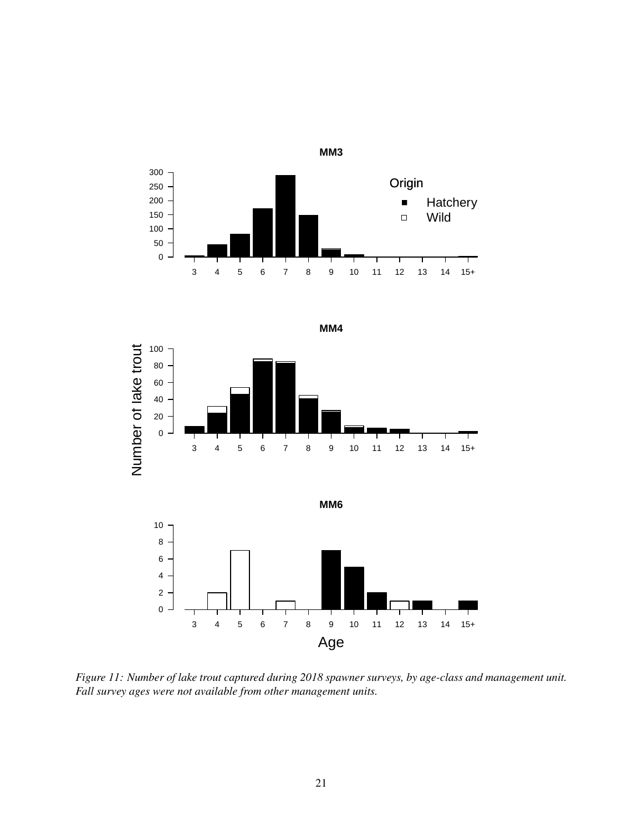





*Figure 11: Number of lake trout captured during 2018 spawner surveys, by age-class and management unit. Fall survey ages were not available from other management units.*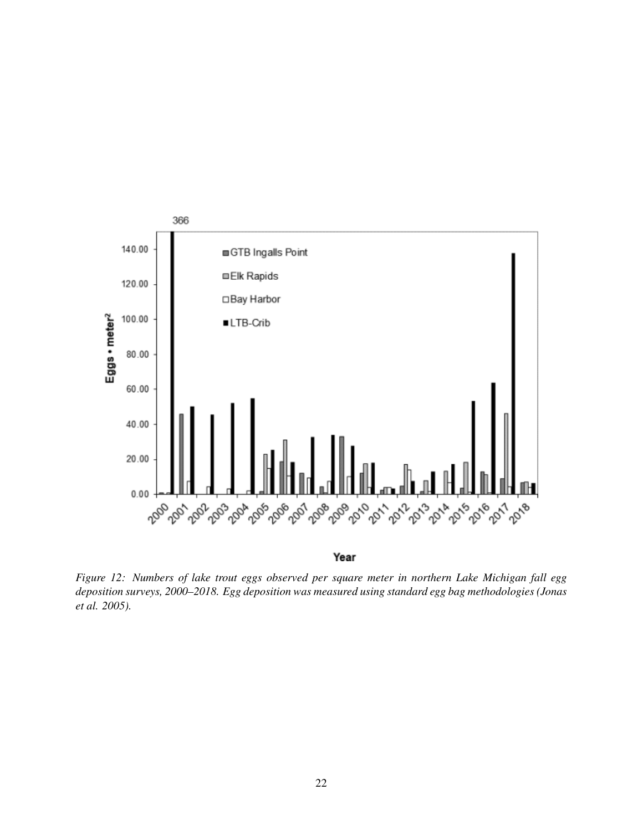

*Figure 12: Numbers of lake trout eggs observed per square meter in northern Lake Michigan fall egg deposition surveys, 2000–2018. Egg deposition was measured using standard egg bag methodologies (Jonas et al. 2005).*